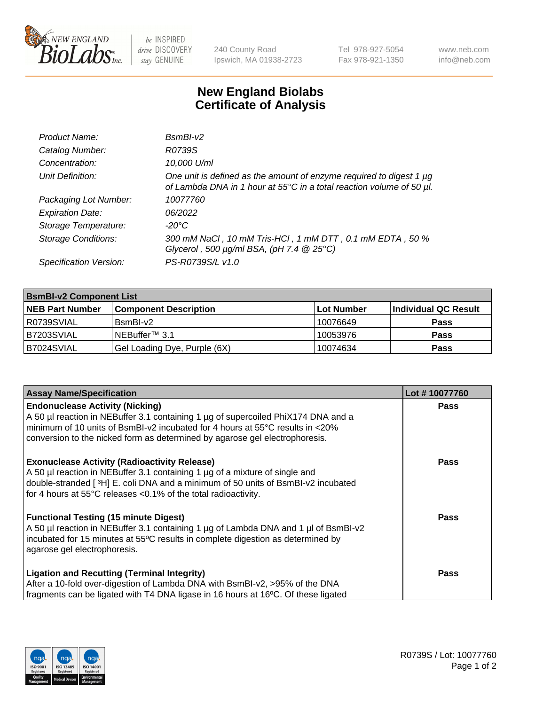

 $be$  INSPIRED drive DISCOVERY stay GENUINE

240 County Road Ipswich, MA 01938-2723 Tel 978-927-5054 Fax 978-921-1350 www.neb.com info@neb.com

## **New England Biolabs Certificate of Analysis**

| Product Name:              | $BsmBI-v2$                                                                                                                                  |
|----------------------------|---------------------------------------------------------------------------------------------------------------------------------------------|
| Catalog Number:            | R0739S                                                                                                                                      |
| Concentration:             | 10,000 U/ml                                                                                                                                 |
| Unit Definition:           | One unit is defined as the amount of enzyme required to digest 1 µg<br>of Lambda DNA in 1 hour at 55°C in a total reaction volume of 50 µl. |
| Packaging Lot Number:      | 10077760                                                                                                                                    |
| <b>Expiration Date:</b>    | 06/2022                                                                                                                                     |
| Storage Temperature:       | $-20^{\circ}$ C                                                                                                                             |
| <b>Storage Conditions:</b> | 300 mM NaCl, 10 mM Tris-HCl, 1 mM DTT, 0.1 mM EDTA, 50 %<br>Glycerol, 500 $\mu$ g/ml BSA, (pH 7.4 $@$ 25°C)                                 |
| Specification Version:     | PS-R0739S/L v1.0                                                                                                                            |

| <b>BsmBI-v2 Component List</b> |                              |            |                      |  |  |
|--------------------------------|------------------------------|------------|----------------------|--|--|
| <b>NEB Part Number</b>         | <b>Component Description</b> | Lot Number | Individual QC Result |  |  |
| R0739SVIAL                     | BsmBI-v2                     | 10076649   | <b>Pass</b>          |  |  |
| B7203SVIAL                     | INEBuffer™ 3.1               | 10053976   | <b>Pass</b>          |  |  |
| B7024SVIAL                     | Gel Loading Dye, Purple (6X) | 10074634   | <b>Pass</b>          |  |  |

| <b>Assay Name/Specification</b>                                                                                                                                        | Lot #10077760 |
|------------------------------------------------------------------------------------------------------------------------------------------------------------------------|---------------|
| <b>Endonuclease Activity (Nicking)</b><br>A 50 µl reaction in NEBuffer 3.1 containing 1 µg of supercoiled PhiX174 DNA and a                                            | <b>Pass</b>   |
| minimum of 10 units of BsmBI-v2 incubated for 4 hours at 55°C results in <20%<br>conversion to the nicked form as determined by agarose gel electrophoresis.           |               |
| <b>Exonuclease Activity (Radioactivity Release)</b>                                                                                                                    | Pass          |
| A 50 µl reaction in NEBuffer 3.1 containing 1 µg of a mixture of single and<br>double-stranded [3H] E. coli DNA and a minimum of 50 units of BsmBI-v2 incubated        |               |
| for 4 hours at 55°C releases <0.1% of the total radioactivity.                                                                                                         |               |
| <b>Functional Testing (15 minute Digest)</b>                                                                                                                           | Pass          |
| A 50 µl reaction in NEBuffer 3.1 containing 1 µg of Lambda DNA and 1 µl of BsmBI-v2<br>incubated for 15 minutes at 55°C results in complete digestion as determined by |               |
| agarose gel electrophoresis.                                                                                                                                           |               |
| <b>Ligation and Recutting (Terminal Integrity)</b>                                                                                                                     | Pass          |
| After a 10-fold over-digestion of Lambda DNA with BsmBI-v2, >95% of the DNA                                                                                            |               |
| fragments can be ligated with T4 DNA ligase in 16 hours at 16°C. Of these ligated                                                                                      |               |